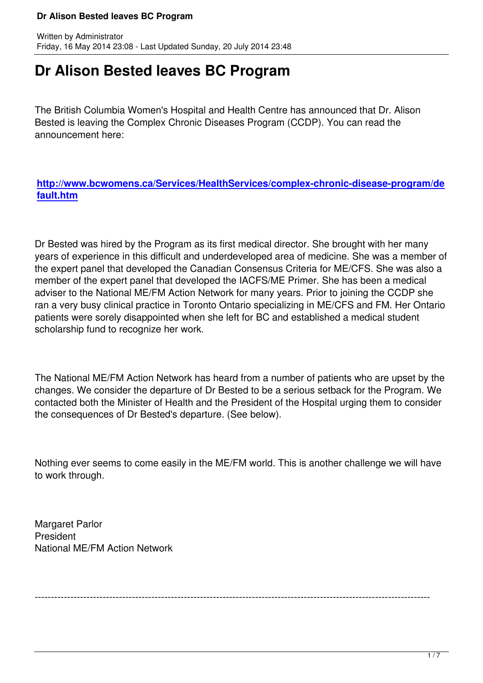## **Dr Alison Bested leaves BC Program**

The British Columbia Women's Hospital and Health Centre has announced that Dr. Alison Bested is leaving the Complex Chronic Diseases Program (CCDP). You can read the announcement here:

**http://www.bcwomens.ca/Services/HealthServices/complex-chronic-disease-program/de fault.htm**

[Dr Bested](http://www.bcwomens.ca/Services/HealthServices/complex-chronic-disease-program/default.htm) was hired by the Program as its first medical director. She brought with her many years of experience in this difficult and underdeveloped area of medicine. She was a member of the expert panel that developed the Canadian Consensus Criteria for ME/CFS. She was also a member of the expert panel that developed the IACFS/ME Primer. She has been a medical adviser to the National ME/FM Action Network for many years. Prior to joining the CCDP she ran a very busy clinical practice in Toronto Ontario specializing in ME/CFS and FM. Her Ontario patients were sorely disappointed when she left for BC and established a medical student scholarship fund to recognize her work.

The National ME/FM Action Network has heard from a number of patients who are upset by the changes. We consider the departure of Dr Bested to be a serious setback for the Program. We contacted both the Minister of Health and the President of the Hospital urging them to consider the consequences of Dr Bested's departure. (See below).

Nothing ever seems to come easily in the ME/FM world. This is another challenge we will have to work through.

Margaret Parlor President National ME/FM Action Network

--------------------------------------------------------------------------------------------------------------------------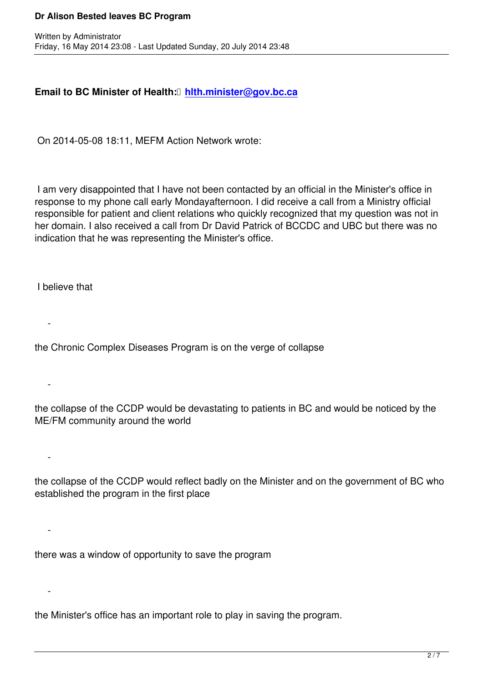## **Email to BC Minister of Health: hlth.minister@gov.bc.ca**

On 2014-05-08 18:11, MEFM Acti[on Network wrote:](mailto:hlth.minister@gov.bc.ca)

 I am very disappointed that I have not been contacted by an official in the Minister's office in response to my phone call early Mondayafternoon. I did receive a call from a Ministry official responsible for patient and client relations who quickly recognized that my question was not in her domain. I also received a call from Dr David Patrick of BCCDC and UBC but there was no indication that he was representing the Minister's office.

I believe that

 $\sim$ 

 $\sim$ 

-

-

 $\sim$ 

the Chronic Complex Diseases Program is on the verge of collapse

the collapse of the CCDP would be devastating to patients in BC and would be noticed by the ME/FM community around the world

the collapse of the CCDP would reflect badly on the Minister and on the government of BC who established the program in the first place

there was a window of opportunity to save the program

the Minister's office has an important role to play in saving the program.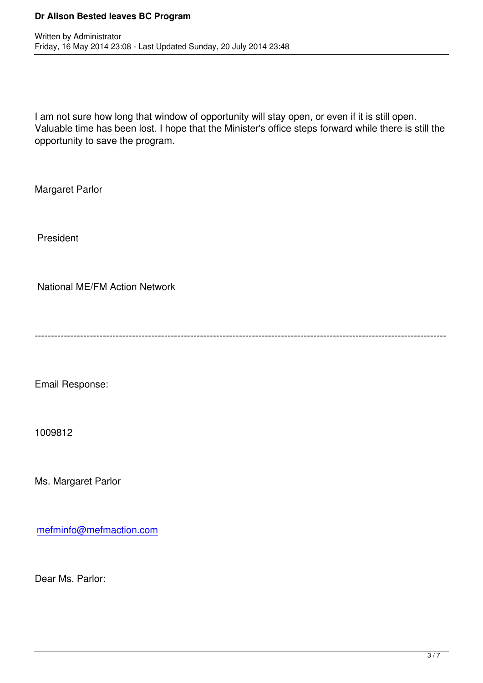I am not sure how long that window of opportunity will stay open, or even if it is still open. Valuable time has been lost. I hope that the Minister's office steps forward while there is still the opportunity to save the program.

Margaret Parlor

Written by Administrator and Administrator and Administrator and Administrator and Administrator and Administrator and Administrator and Administrator and Administrator and Administrator and Administrator and Administrator

President

National ME/FM Action Network

-------------------------------------------------------------------------------------------------------------------------------

Email Response:

1009812

Ms. Margaret Parlor

mefminfo@mefmaction.com

[Dear Ms. Parlor:](mailto:mefminfo@mefmaction.com)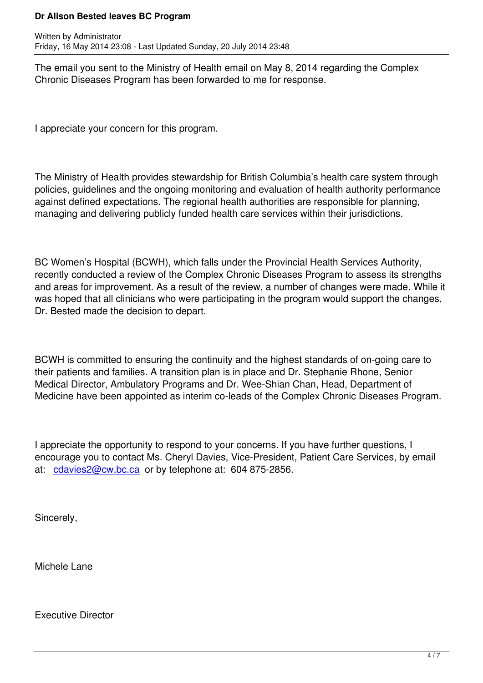The email you sent to the Ministry of Health email on May 8, 2014 regarding the Complex Chronic Diseases Program has been forwarded to me for response.

I appreciate your concern for this program.

The Ministry of Health provides stewardship for British Columbia's health care system through policies, guidelines and the ongoing monitoring and evaluation of health authority performance against defined expectations. The regional health authorities are responsible for planning, managing and delivering publicly funded health care services within their jurisdictions.

BC Women's Hospital (BCWH), which falls under the Provincial Health Services Authority, recently conducted a review of the Complex Chronic Diseases Program to assess its strengths and areas for improvement. As a result of the review, a number of changes were made. While it was hoped that all clinicians who were participating in the program would support the changes, Dr. Bested made the decision to depart.

BCWH is committed to ensuring the continuity and the highest standards of on-going care to their patients and families. A transition plan is in place and Dr. Stephanie Rhone, Senior Medical Director, Ambulatory Programs and Dr. Wee-Shian Chan, Head, Department of Medicine have been appointed as interim co-leads of the Complex Chronic Diseases Program.

I appreciate the opportunity to respond to your concerns. If you have further questions, I encourage you to contact Ms. Cheryl Davies, Vice-President, Patient Care Services, by email at:  $cdavies2@cw(bcca or by telephone at: 604 875-2856.$ 

Sin[cerely,](mailto:cdavies2@cw.bc.ca)

Michele Lane

Executive Director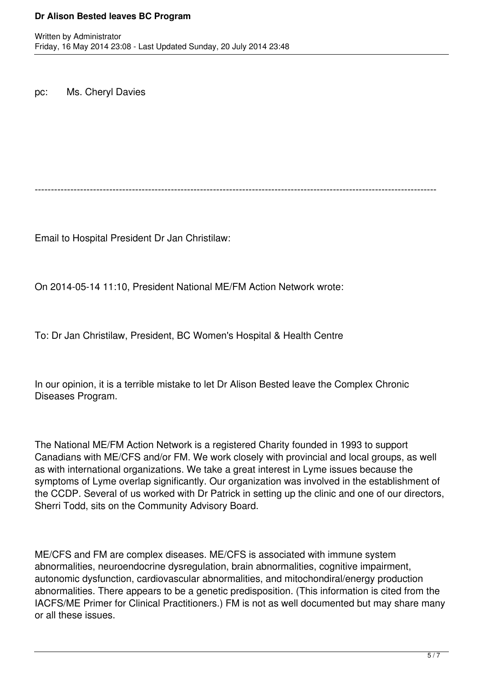pc: Ms. Cheryl Davies

----------------------------------------------------------------------------------------------------------------------------

Email to Hospital President Dr Jan Christilaw:

On 2014-05-14 11:10, President National ME/FM Action Network wrote:

To: Dr Jan Christilaw, President, BC Women's Hospital & Health Centre

In our opinion, it is a terrible mistake to let Dr Alison Bested leave the Complex Chronic Diseases Program.

The National ME/FM Action Network is a registered Charity founded in 1993 to support Canadians with ME/CFS and/or FM. We work closely with provincial and local groups, as well as with international organizations. We take a great interest in Lyme issues because the symptoms of Lyme overlap significantly. Our organization was involved in the establishment of the CCDP. Several of us worked with Dr Patrick in setting up the clinic and one of our directors, Sherri Todd, sits on the Community Advisory Board.

ME/CFS and FM are complex diseases. ME/CFS is associated with immune system abnormalities, neuroendocrine dysregulation, brain abnormalities, cognitive impairment, autonomic dysfunction, cardiovascular abnormalities, and mitochondiral/energy production abnormalities. There appears to be a genetic predisposition. (This information is cited from the IACFS/ME Primer for Clinical Practitioners.) FM is not as well documented but may share many or all these issues.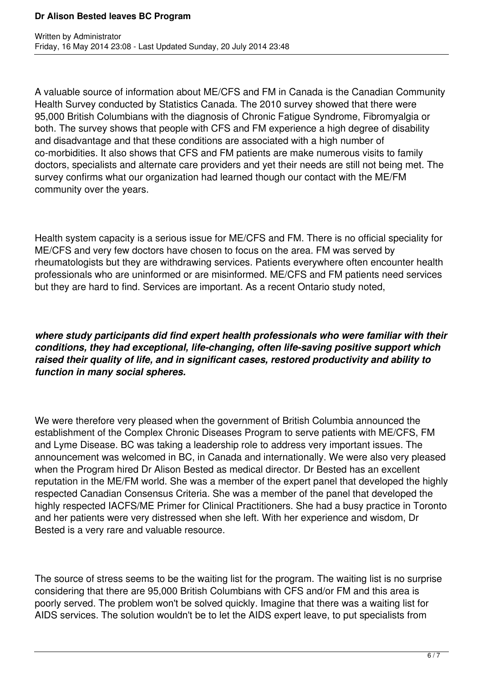A valuable source of information about ME/CFS and FM in Canada is the Canadian Community Health Survey conducted by Statistics Canada. The 2010 survey showed that there were 95,000 British Columbians with the diagnosis of Chronic Fatigue Syndrome, Fibromyalgia or both. The survey shows that people with CFS and FM experience a high degree of disability and disadvantage and that these conditions are associated with a high number of co-morbidities. It also shows that CFS and FM patients are make numerous visits to family doctors, specialists and alternate care providers and yet their needs are still not being met. The survey confirms what our organization had learned though our contact with the ME/FM community over the years.

Health system capacity is a serious issue for ME/CFS and FM. There is no official speciality for ME/CFS and very few doctors have chosen to focus on the area. FM was served by rheumatologists but they are withdrawing services. Patients everywhere often encounter health professionals who are uninformed or are misinformed. ME/CFS and FM patients need services but they are hard to find. Services are important. As a recent Ontario study noted,

*where study participants did find expert health professionals who were familiar with their conditions, they had exceptional, life-changing, often life-saving positive support which raised their quality of life, and in significant cases, restored productivity and ability to function in many social spheres.*

We were therefore very pleased when the government of British Columbia announced the establishment of the Complex Chronic Diseases Program to serve patients with ME/CFS, FM and Lyme Disease. BC was taking a leadership role to address very important issues. The announcement was welcomed in BC, in Canada and internationally. We were also very pleased when the Program hired Dr Alison Bested as medical director. Dr Bested has an excellent reputation in the ME/FM world. She was a member of the expert panel that developed the highly respected Canadian Consensus Criteria. She was a member of the panel that developed the highly respected IACFS/ME Primer for Clinical Practitioners. She had a busy practice in Toronto and her patients were very distressed when she left. With her experience and wisdom, Dr Bested is a very rare and valuable resource.

The source of stress seems to be the waiting list for the program. The waiting list is no surprise considering that there are 95,000 British Columbians with CFS and/or FM and this area is poorly served. The problem won't be solved quickly. Imagine that there was a waiting list for AIDS services. The solution wouldn't be to let the AIDS expert leave, to put specialists from